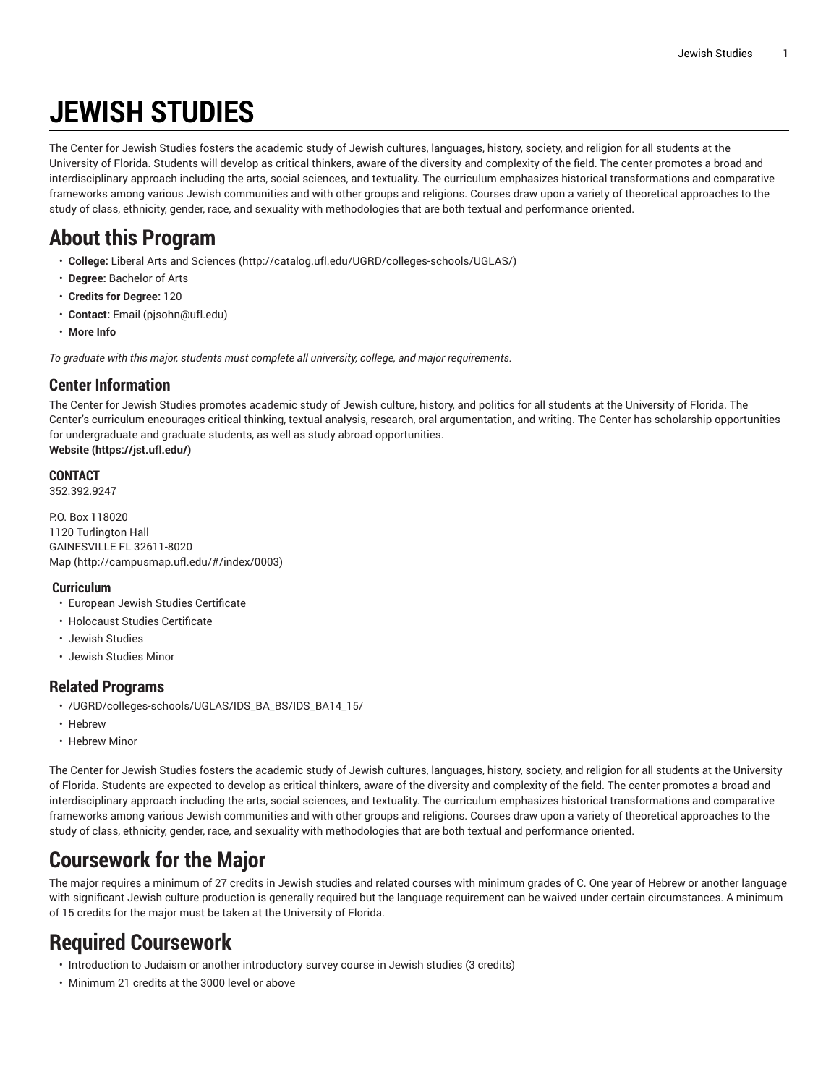# **JEWISH STUDIES**

The Center for Jewish Studies fosters the academic study of Jewish cultures, languages, history, society, and religion for all students at the University of Florida. Students will develop as critical thinkers, aware of the diversity and complexity of the field. The center promotes a broad and interdisciplinary approach including the arts, social sciences, and textuality. The curriculum emphasizes historical transformations and comparative frameworks among various Jewish communities and with other groups and religions. Courses draw upon a variety of theoretical approaches to the study of class, ethnicity, gender, race, and sexuality with methodologies that are both textual and performance oriented.

## **About this Program**

- **College:** Liberal Arts and [Sciences](http://catalog.ufl.edu/UGRD/colleges-schools/UGLAS/) ([http://catalog.ufl.edu/UGRD/colleges-schools/UGLAS/\)](http://catalog.ufl.edu/UGRD/colleges-schools/UGLAS/)
- **Degree:** Bachelor of Arts
- **Credits for Degree:** 120
- **Contact:** [Email](mailto:pjsohn@ufl.edu) [\(pjsohn@ufl.edu](pjsohn@ufl.edu))
- **More Info**

*To graduate with this major, students must complete all university, college, and major requirements.*

#### **Center Information**

The Center for Jewish Studies promotes academic study of Jewish culture, history, and politics for all students at the University of Florida. The Center's curriculum encourages critical thinking, textual analysis, research, oral argumentation, and writing. The Center has scholarship opportunities for undergraduate and graduate students, as well as study abroad opportunities. **[Website](https://jst.ufl.edu/) ([https://jst.ufl.edu/\)](https://jst.ufl.edu/)**

### **CONTACT**

352.392.9247

P.O. Box 118020 1120 Turlington Hall GAINESVILLE FL 32611-8020 [Map](http://campusmap.ufl.edu/#/index/0003) ([http://campusmap.ufl.edu/#/index/0003\)](http://campusmap.ufl.edu/#/index/0003)

#### **Curriculum**

- European Jewish Studies Certificate
- Holocaust Studies Certificate
- Jewish Studies
- Jewish Studies Minor

#### **Related Programs**

- /UGRD/colleges-schools/UGLAS/IDS\_BA\_BS/IDS\_BA14\_15/
- Hebrew
- Hebrew Minor

The Center for Jewish Studies fosters the academic study of Jewish cultures, languages, history, society, and religion for all students at the University of Florida. Students are expected to develop as critical thinkers, aware of the diversity and complexity of the field. The center promotes a broad and interdisciplinary approach including the arts, social sciences, and textuality. The curriculum emphasizes historical transformations and comparative frameworks among various Jewish communities and with other groups and religions. Courses draw upon a variety of theoretical approaches to the study of class, ethnicity, gender, race, and sexuality with methodologies that are both textual and performance oriented.

# **Coursework for the Major**

The major requires a minimum of 27 credits in Jewish studies and related courses with minimum grades of C. One year of Hebrew or another language with significant Jewish culture production is generally required but the language requirement can be waived under certain circumstances. A minimum of 15 credits for the major must be taken at the University of Florida.

# **Required Coursework**

- Introduction to Judaism or another introductory survey course in Jewish studies (3 credits)
- Minimum 21 credits at the 3000 level or above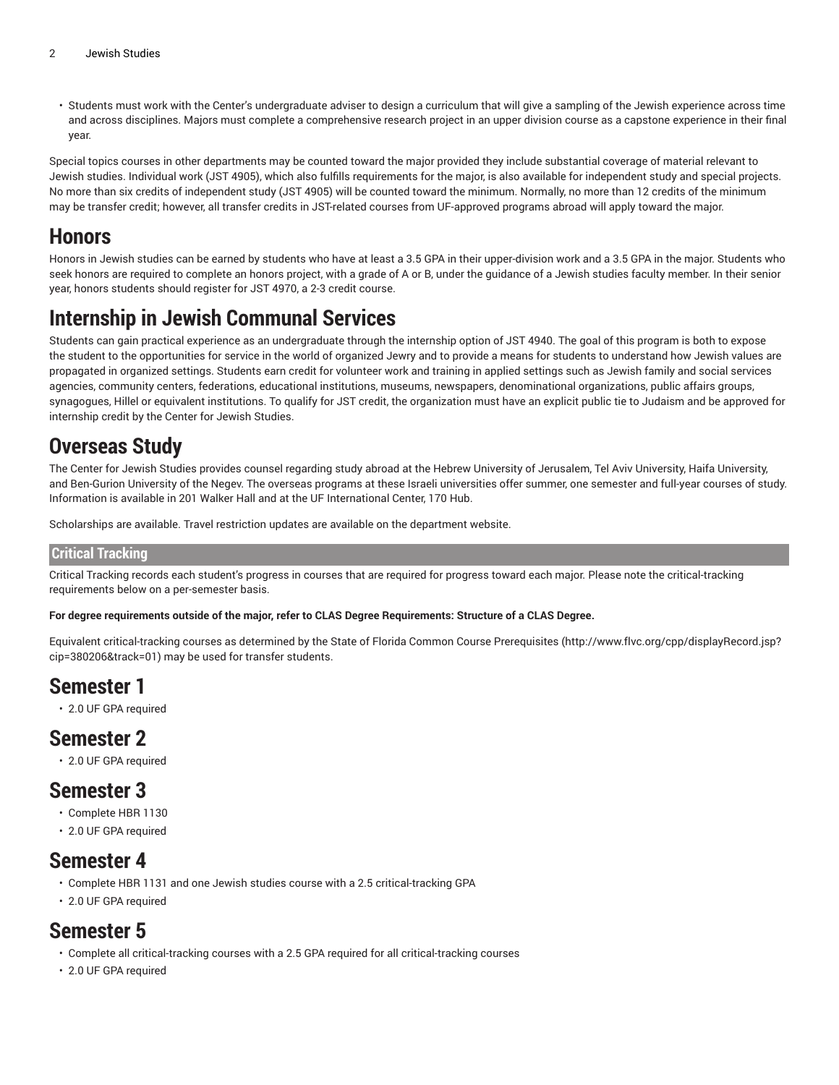• Students must work with the Center's undergraduate adviser to design a curriculum that will give a sampling of the Jewish experience across time and across disciplines. Majors must complete a comprehensive research project in an upper division course as a capstone experience in their final year.

Special topics courses in other departments may be counted toward the major provided they include substantial coverage of material relevant to Jewish studies. Individual work (JST 4905), which also fulfills requirements for the major, is also available for independent study and special projects. No more than six credits of independent study (JST 4905) will be counted toward the minimum. Normally, no more than 12 credits of the minimum may be transfer credit; however, all transfer credits in JST-related courses from UF-approved programs abroad will apply toward the major.

### **Honors**

Honors in Jewish studies can be earned by students who have at least a 3.5 GPA in their upper-division work and a 3.5 GPA in the major. Students who seek honors are required to complete an honors project, with a grade of A or B, under the guidance of a Jewish studies faculty member. In their senior year, honors students should register for JST 4970, a 2-3 credit course.

### **Internship in Jewish Communal Services**

Students can gain practical experience as an undergraduate through the internship option of JST 4940. The goal of this program is both to expose the student to the opportunities for service in the world of organized Jewry and to provide a means for students to understand how Jewish values are propagated in organized settings. Students earn credit for volunteer work and training in applied settings such as Jewish family and social services agencies, community centers, federations, educational institutions, museums, newspapers, denominational organizations, public affairs groups, synagogues, Hillel or equivalent institutions. To qualify for JST credit, the organization must have an explicit public tie to Judaism and be approved for internship credit by the Center for Jewish Studies.

### **Overseas Study**

The Center for Jewish Studies provides counsel regarding study abroad at the Hebrew University of Jerusalem, Tel Aviv University, Haifa University, and Ben-Gurion University of the Negev. The overseas programs at these Israeli universities offer summer, one semester and full-year courses of study. Information is available in 201 Walker Hall and at the UF International Center, 170 Hub.

Scholarships are available. Travel restriction updates are available on the department website.

#### **Critical Tracking**

Critical Tracking records each student's progress in courses that are required for progress toward each major. Please note the critical-tracking requirements below on a per-semester basis.

#### For degree requirements outside of the major, refer to CLAS Degree Requirements: Structure of a CLAS Degree.

Equivalent critical-tracking courses as determined by the State of Florida Common Course [Prerequisites](http://www.flvc.org/cpp/displayRecord.jsp?cip=380206&track=01) ([http://www.flvc.org/cpp/displayRecord.jsp?](http://www.flvc.org/cpp/displayRecord.jsp?cip=380206&track=01) [cip=380206&track=01\)](http://www.flvc.org/cpp/displayRecord.jsp?cip=380206&track=01) may be used for transfer students.

### **Semester 1**

• 2.0 UF GPA required

### **Semester 2**

• 2.0 UF GPA required

### **Semester 3**

- Complete HBR 1130
- 2.0 UF GPA required

### **Semester 4**

- Complete HBR 1131 and one Jewish studies course with a 2.5 critical-tracking GPA
- 2.0 UF GPA required

### **Semester 5**

- Complete all critical-tracking courses with a 2.5 GPA required for all critical-tracking courses
- 2.0 UF GPA required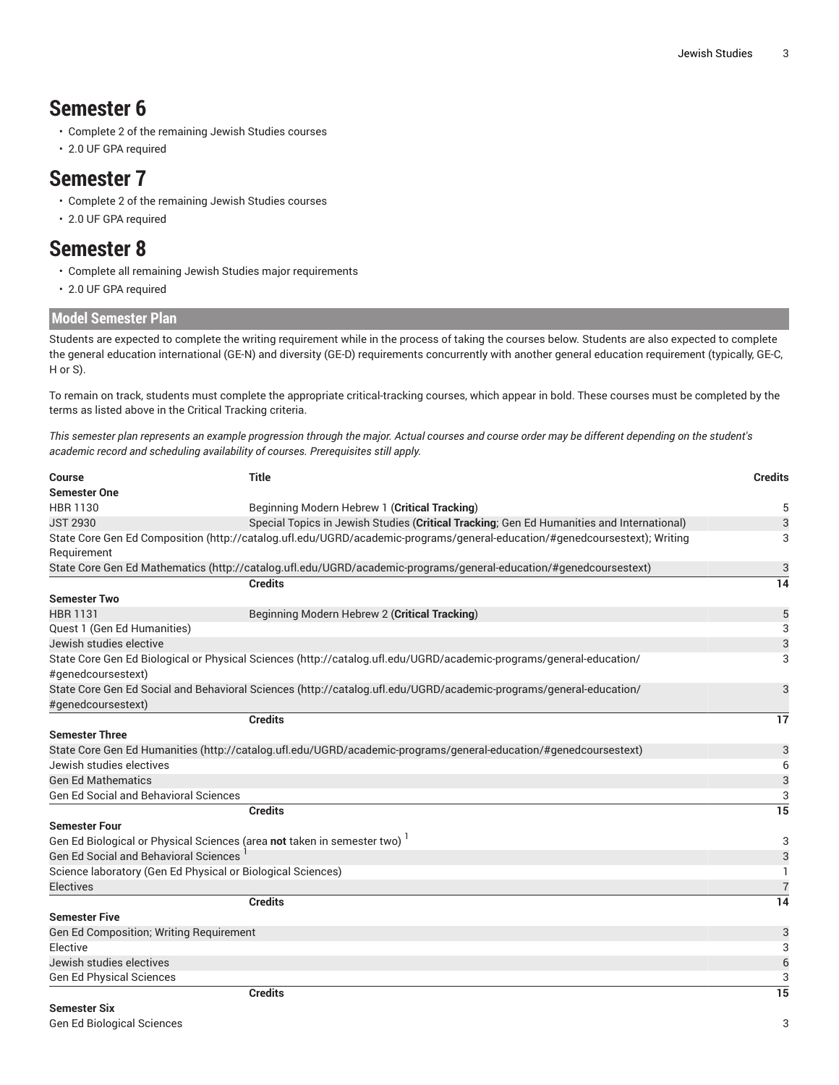### **Semester 6**

- Complete 2 of the remaining Jewish Studies courses
- 2.0 UF GPA required

#### **Semester 7**

- Complete 2 of the remaining Jewish Studies courses
- 2.0 UF GPA required

### **Semester 8**

- Complete all remaining Jewish Studies major requirements
- 2.0 UF GPA required

#### **Model Semester Plan**

Students are expected to complete the writing requirement while in the process of taking the courses below. Students are also expected to complete the general education international (GE-N) and diversity (GE-D) requirements concurrently with another general education requirement (typically, GE-C, H or S).

To remain on track, students must complete the appropriate critical-tracking courses, which appear in bold. These courses must be completed by the terms as listed above in the Critical Tracking criteria.

This semester plan represents an example progression through the major. Actual courses and course order may be different depending on the student's *academic record and scheduling availability of courses. Prerequisites still apply.*

| <b>Course</b>                                                                        | <b>Title</b>                                                                                                               | <b>Credits</b>  |
|--------------------------------------------------------------------------------------|----------------------------------------------------------------------------------------------------------------------------|-----------------|
| <b>Semester One</b>                                                                  |                                                                                                                            |                 |
| HBR 1130                                                                             | Beginning Modern Hebrew 1 (Critical Tracking)                                                                              | 5               |
| <b>JST 2930</b>                                                                      | Special Topics in Jewish Studies (Critical Tracking; Gen Ed Humanities and International)                                  | 3               |
| Requirement                                                                          | State Core Gen Ed Composition (http://catalog.ufl.edu/UGRD/academic-programs/general-education/#genedcoursestext); Writing | 3               |
|                                                                                      | State Core Gen Ed Mathematics (http://catalog.ufl.edu/UGRD/academic-programs/general-education/#genedcoursestext)          | 3               |
|                                                                                      | <b>Credits</b>                                                                                                             | 14              |
| <b>Semester Two</b>                                                                  |                                                                                                                            |                 |
| <b>HBR 1131</b>                                                                      | Beginning Modern Hebrew 2 (Critical Tracking)                                                                              | 5               |
| Quest 1 (Gen Ed Humanities)                                                          |                                                                                                                            | 3               |
| Jewish studies elective                                                              |                                                                                                                            | 3               |
|                                                                                      | State Core Gen Ed Biological or Physical Sciences (http://catalog.ufl.edu/UGRD/academic-programs/general-education/        | 3               |
| #genedcoursestext)                                                                   |                                                                                                                            |                 |
|                                                                                      | State Core Gen Ed Social and Behavioral Sciences (http://catalog.ufl.edu/UGRD/academic-programs/general-education/         | 3               |
| #genedcoursestext)                                                                   |                                                                                                                            |                 |
|                                                                                      | <b>Credits</b>                                                                                                             | 17              |
| <b>Semester Three</b>                                                                |                                                                                                                            |                 |
|                                                                                      | State Core Gen Ed Humanities (http://catalog.ufl.edu/UGRD/academic-programs/general-education/#genedcoursestext)           | 3               |
| Jewish studies electives                                                             |                                                                                                                            | 6               |
| <b>Gen Ed Mathematics</b>                                                            |                                                                                                                            | 3               |
| <b>Gen Ed Social and Behavioral Sciences</b>                                         |                                                                                                                            | 3               |
|                                                                                      | <b>Credits</b>                                                                                                             | 15              |
| <b>Semester Four</b>                                                                 |                                                                                                                            |                 |
| Gen Ed Biological or Physical Sciences (area not taken in semester two) <sup>1</sup> |                                                                                                                            | 3               |
| <b>Gen Ed Social and Behavioral Sciences</b>                                         |                                                                                                                            | 3               |
| Science laboratory (Gen Ed Physical or Biological Sciences)                          |                                                                                                                            | -1              |
| <b>Electives</b>                                                                     |                                                                                                                            | $\overline{7}$  |
|                                                                                      | <b>Credits</b>                                                                                                             | 14              |
| <b>Semester Five</b>                                                                 |                                                                                                                            |                 |
| Gen Ed Composition; Writing Requirement                                              |                                                                                                                            | 3               |
| Elective                                                                             |                                                                                                                            | 3               |
| Jewish studies electives                                                             |                                                                                                                            | $\overline{6}$  |
| <b>Gen Ed Physical Sciences</b>                                                      |                                                                                                                            | 3               |
|                                                                                      | <b>Credits</b>                                                                                                             | $\overline{15}$ |
| <b>Semester Six</b>                                                                  |                                                                                                                            |                 |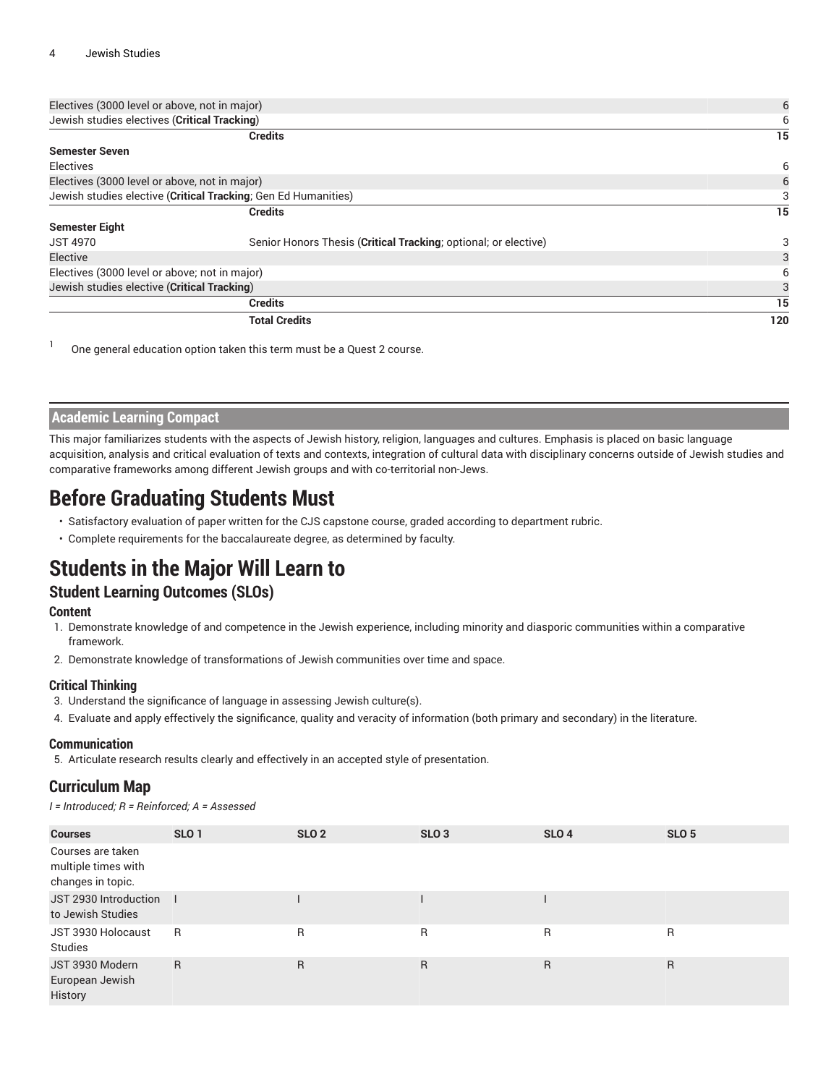| Electives (3000 level or above, not in major) | 6                                                               |     |
|-----------------------------------------------|-----------------------------------------------------------------|-----|
| Jewish studies electives (Critical Tracking)  | 6                                                               |     |
|                                               | <b>Credits</b>                                                  | 15  |
| <b>Semester Seven</b>                         |                                                                 |     |
| <b>Electives</b>                              |                                                                 | 6   |
| Electives (3000 level or above, not in major) | 6                                                               |     |
|                                               | Jewish studies elective (Critical Tracking; Gen Ed Humanities)  | 3   |
|                                               | <b>Credits</b>                                                  | 15  |
| <b>Semester Eight</b>                         |                                                                 |     |
| <b>JST 4970</b>                               | Senior Honors Thesis (Critical Tracking; optional; or elective) | 3   |
| Elective                                      |                                                                 | 3   |
| Electives (3000 level or above; not in major) |                                                                 | 6   |
| Jewish studies elective (Critical Tracking)   |                                                                 |     |
|                                               | <b>Credits</b>                                                  | 15  |
|                                               | <b>Total Credits</b>                                            | 120 |

1 One general education option taken this term must be a Quest 2 course.

#### **Academic Learning Compact**

This major familiarizes students with the aspects of Jewish history, religion, languages and cultures. Emphasis is placed on basic language acquisition, analysis and critical evaluation of texts and contexts, integration of cultural data with disciplinary concerns outside of Jewish studies and comparative frameworks among different Jewish groups and with co-territorial non-Jews.

### **Before Graduating Students Must**

- Satisfactory evaluation of paper written for the CJS capstone course, graded according to department rubric.
- Complete requirements for the baccalaureate degree, as determined by faculty.

# **Students in the Major Will Learn to**

#### **Student Learning Outcomes (SLOs)**

#### **Content**

- 1. Demonstrate knowledge of and competence in the Jewish experience, including minority and diasporic communities within a comparative framework.
- 2. Demonstrate knowledge of transformations of Jewish communities over time and space.

#### **Critical Thinking**

- 3. Understand the significance of language in assessing Jewish culture(s).
- 4. Evaluate and apply effectively the significance, quality and veracity of information (both primary and secondary) in the literature.

#### **Communication**

5. Articulate research results clearly and effectively in an accepted style of presentation.

#### **Curriculum Map**

*I = Introduced; R = Reinforced; A = Assessed*

| <b>Courses</b>                                                | SLO <sub>1</sub> | <b>SLO 2</b> | SLO <sub>3</sub> | <b>SLO 4</b> | SLO <sub>5</sub> |
|---------------------------------------------------------------|------------------|--------------|------------------|--------------|------------------|
| Courses are taken<br>multiple times with<br>changes in topic. |                  |              |                  |              |                  |
| JST 2930 Introduction  <br>to Jewish Studies                  |                  |              |                  |              |                  |
| JST 3930 Holocaust<br>Studies                                 | -R               | $\mathsf{R}$ | R                | $\mathsf{R}$ | R                |
| JST 3930 Modern<br>European Jewish<br>History                 | R.               | $\mathsf{R}$ | R                | R            | R                |